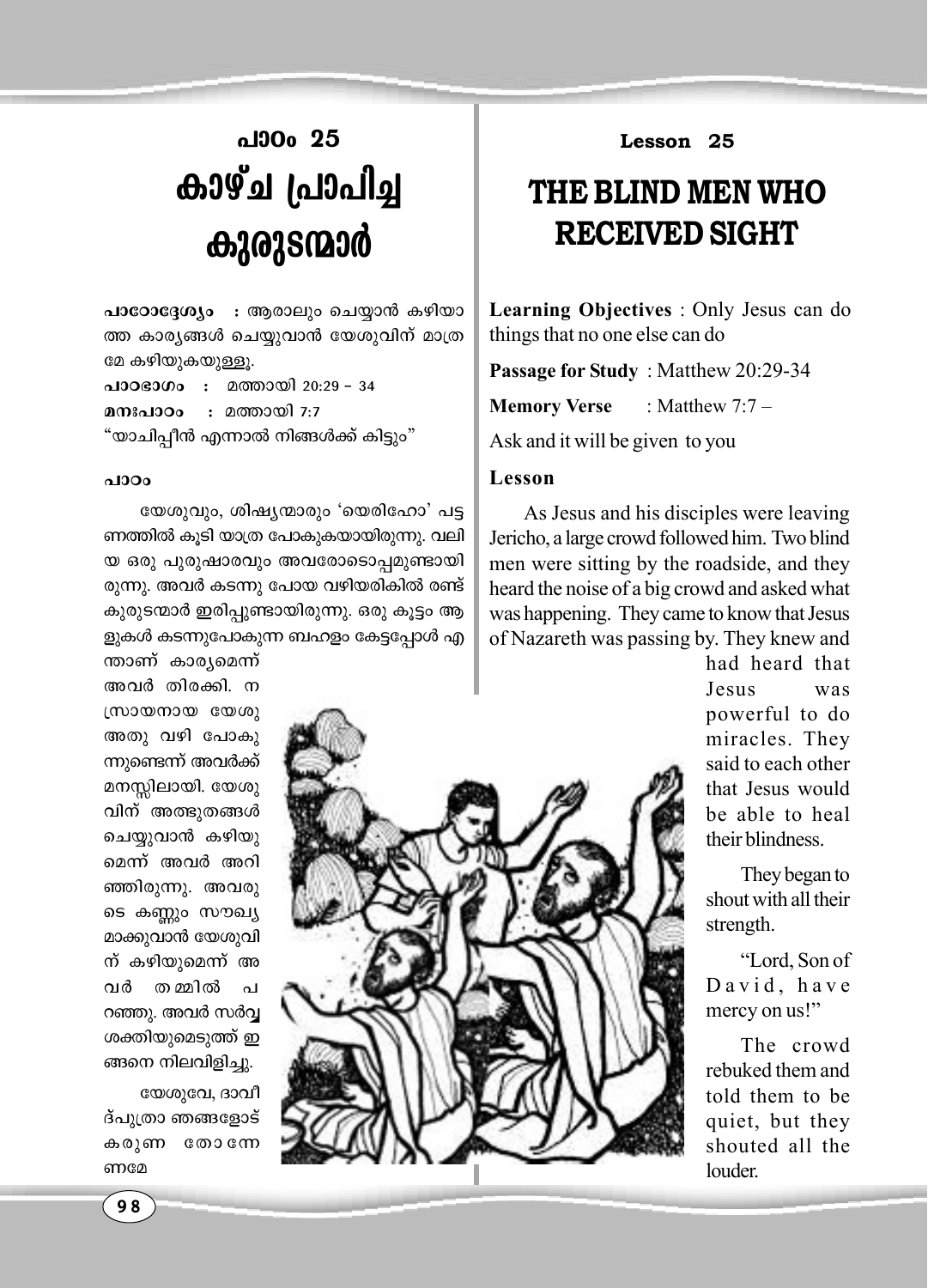## **al**30<sub>0</sub> 25 **കാഴ്ച പ്രാപി**ച്ച *BBQ***36220**

പാ**ോദ്ദേശ്യം : ആരാലും ചെയ്യാൻ കഴിയാ** ത്ത കാര്യങ്ങൾ ചെയ്യവാൻ യേശുവിന് മാത്ര മേ കഴിയുകയുള്ളൂ.

**പാഠഭാഗം : മത്തായി 20:29 - 34 മനഃപാഠം :** മത്തായി 7:7 "യാചിപ്പീൻ എന്നാൽ നിങ്ങൾക്ക് കിട്ടും"

## *-]mTw*

യേശുവും, ശിഷ്യന്മാരും 'യെരിഹോ' പട്ട ണത്തിൽ കൂടി യാത്ര പോകുകയായിരുന്നു. വലി യ ഒരു പുരുഷാരവും അവരോടൊപ്പമുണ്ടായി രുന്നു. അവർ കടന്നു പോയ വഴിയരികിൽ രണ്ട് കുരുടന്മാർ ഇരിപ്പുണ്ടായിരുന്നു. ഒരു കൂട്ടം ആ ളുകൾ കടന്നുപോകുന്ന ബഹളം കേട്ടപ്പോൾ എ

**Lesson 25**

## **THE BLIND MEN WHO RECEIVED SIGHT**

**Learning Objectives** : Only Jesus can do things that no one else can do

**Passage for Study** : Matthew 20:29-34

**Memory Verse** : Matthew 7:7 –

Ask and it will be given to you

## **Lesson**

As Jesus and his disciples were leaving Jericho, a large crowd followed him. Two blind men were sitting by the roadside, and they heard the noise of a big crowd and asked what was happening. They came to know that Jesus of Nazareth was passing by. They knew and

> had heard that Jesus was powerful to do miracles. They said to each other that Jesus would be able to heal their blindness.

> They began to shout with all their strength.

"Lord, Son of David, have mercy on us!"

The crowd rebuked them and told them to be quiet, but they shouted all the louder.

ന്താണ് കാരൃമെന്ന് അവർ തിരക്കി. ന  $(m$ ownow  $w$ അതു വഴി പോകു ന്നുണ്ടെന്ന് അവർക്ക് മനസ്സിലായി. യേശു വിന് അത്ഭുതങ്ങൾ ചെയ്യുവാൻ കഴിയു മെന്ന് അവർ അറി ഞ്ഞിരുന്നു. അവരു ടെ കണ്ണും സൗഖ്യ മാക്കുവാൻ യേശുവി ന് കഴിയുമെന്ന് അ വർ തമ്മിൽ പ റഞ്ഞു. അവർ സർവ്വ ശക്തിയുമെടുത്ത് ഇ ങ്ങനെ നിലവിളിച്ചു.

യേശുവേ, ദാവീ ദ്പുത്രാ ഞങ്ങളോട് കരുണ തോന്നേ ണമേ